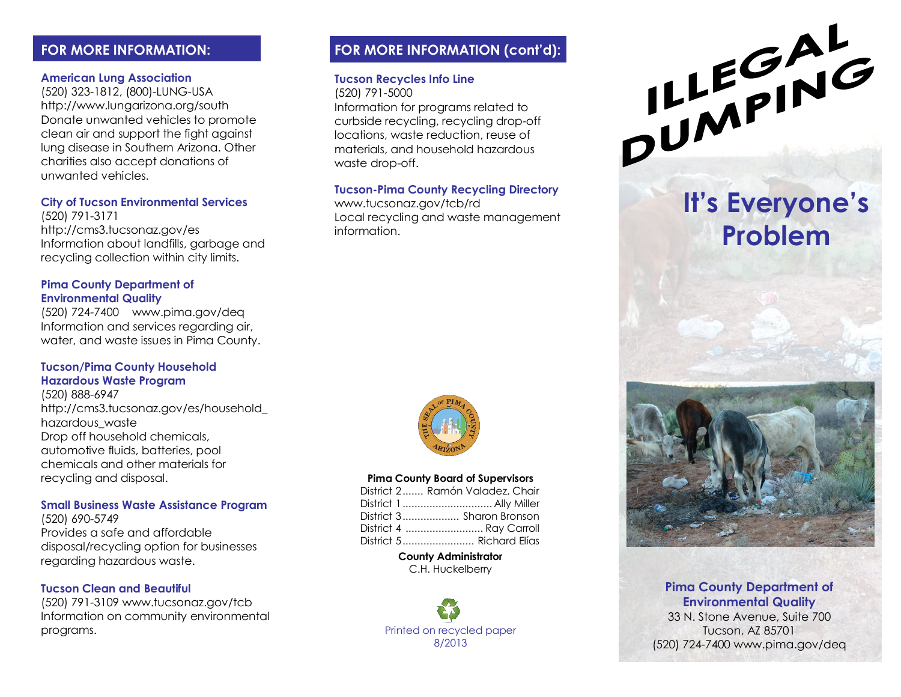# **FOR MORE INFORMATION:**

### **American Lung Association**

(520) 323-1812, (800)-LUNG-USA http://www.lungarizona.org/south Donate unwanted vehicles to promote clean air and support the fight against lung disease in Southern Arizona. Other charities also accept donations of unwanted vehicles.

### **City of Tucson Environmental Services**

(520) 791-3171 http://cms3.tucsonaz.gov/es Information about landfills, garbage and recycling collection within city limits.

### **Pima County Department of Environmental Quality**

(520) 724-7400 www.pima.gov/deq Information and services regarding air, water, and waste issues in Pima County.

### **Tucson/Pima County Household Hazardous Waste Program**

(520) 888-6947 http://cms3.tucsonaz.gov/es/household\_ hazardous\_waste Drop off household chemicals, automotive fluids, batteries, pool chemicals and other materials for recycling and disposal.

### **Small Business Waste Assistance Program**

(520) 690-5749 Provides a safe and affordable disposal/recycling option for businesses regarding hazardous waste.

### **Tucson Clean and Beautiful**

(520) 791-3109 www.tucsonaz.gov/tcb Information on community environmental programs.

# **FOR MORE INFORMATION (cont'd):**

### **Tucson Recycles Info Line**

(520) 791-5000

Information for programs related to curbside recycling, recycling drop-off locations, waste reduction, reuse of materials, and household hazardous waste drop-off.

## **Tucson-Pima County Recycling Directory**

www.tucsonaz.gov/tcb/rd Local recycling and waste management information.



### **Pima County Board of Supervisors**

| District 2 Ramón Valadez, Chair |
|---------------------------------|
|                                 |
| District 3 Sharon Bronson       |
| District 4  Ray Carroll         |
|                                 |

#### **County Administrator**

C.H. Huckelberry

Printed on recycled paper 8/2013



# **It's Everyone's Problem**



## **Pima County Department of Environmental Quality**

33 N. Stone Avenue, Suite 700 Tucson, AZ 85701 (520) 724-7400 www.pima.gov/deq